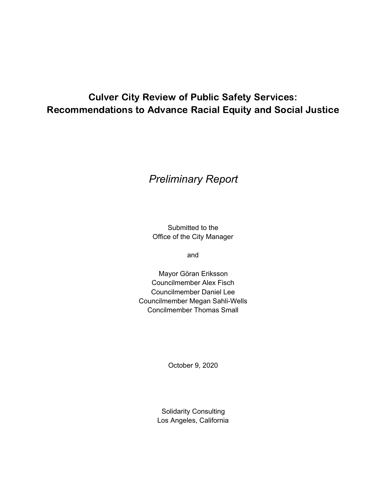# Culver City Review of Public Safety Services: Recommendations to Advance Racial Equity and Social Justice

# *Preliminary Report*

Submitted to the Office of the City Manager

and

Mayor Göran Eriksson Councilmember Alex Fisch Councilmember Daniel Lee Councilmember Megan Sahli-Wells Concilmember Thomas Small

October 9, 2020

Solidarity Consulting Los Angeles, California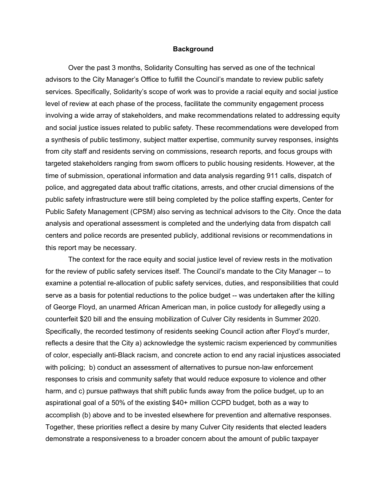### **Background**

Over the past 3 months, Solidarity Consulting has served as one of the technical advisors to the City Manager's Office to fulfill the Council's mandate to review public safety services. Specifically, Solidarity's scope of work was to provide a racial equity and social justice level of review at each phase of the process, facilitate the community engagement process involving a wide array of stakeholders, and make recommendations related to addressing equity and social justice issues related to public safety. These recommendations were developed from a synthesis of public testimony, subject matter expertise, community survey responses, insights from city staff and residents serving on commissions, research reports, and focus groups with targeted stakeholders ranging from sworn officers to public housing residents. However, at the time of submission, operational information and data analysis regarding 911 calls, dispatch of police, and aggregated data about traffic citations, arrests, and other crucial dimensions of the public safety infrastructure were still being completed by the police staffing experts, Center for Public Safety Management (CPSM) also serving as technical advisors to the City. Once the data analysis and operational assessment is completed and the underlying data from dispatch call centers and police records are presented publicly, additional revisions or recommendations in this report may be necessary.

The context for the race equity and social justice level of review rests in the motivation for the review of public safety services itself. The Council's mandate to the City Manager -- to examine a potential re-allocation of public safety services, duties, and responsibilities that could serve as a basis for potential reductions to the police budget -- was undertaken after the killing of George Floyd, an unarmed African American man, in police custody for allegedly using a counterfeit \$20 bill and the ensuing mobilization of Culver City residents in Summer 2020. Specifically, the recorded testimony of residents seeking Council action after Floyd's murder, reflects a desire that the City a) acknowledge the systemic racism experienced by communities of color, especially anti-Black racism, and concrete action to end any racial injustices associated with policing; b) conduct an assessment of alternatives to pursue non-law enforcement responses to crisis and community safety that would reduce exposure to violence and other harm, and c) pursue pathways that shift public funds away from the police budget, up to an aspirational goal of a 50% of the existing \$40+ million CCPD budget, both as a way to accomplish (b) above and to be invested elsewhere for prevention and alternative responses. Together, these priorities reflect a desire by many Culver City residents that elected leaders demonstrate a responsiveness to a broader concern about the amount of public taxpayer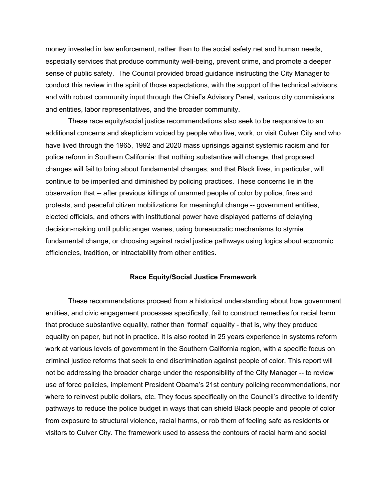money invested in law enforcement, rather than to the social safety net and human needs, especially services that produce community well-being, prevent crime, and promote a deeper sense of public safety. The Council provided broad guidance instructing the City Manager to conduct this review in the spirit of those expectations, with the support of the technical advisors, and with robust community input through the Chief's Advisory Panel, various city commissions and entities, labor representatives, and the broader community.

These race equity/social justice recommendations also seek to be responsive to an additional concerns and skepticism voiced by people who live, work, or visit Culver City and who have lived through the 1965, 1992 and 2020 mass uprisings against systemic racism and for police reform in Southern California: that nothing substantive will change, that proposed changes will fail to bring about fundamental changes, and that Black lives, in particular, will continue to be imperiled and diminished by policing practices. These concerns lie in the observation that -- after previous killings of unarmed people of color by police, fires and protests, and peaceful citizen mobilizations for meaningful change -- government entities, elected officials, and others with institutional power have displayed patterns of delaying decision-making until public anger wanes, using bureaucratic mechanisms to stymie fundamental change, or choosing against racial justice pathways using logics about economic efficiencies, tradition, or intractability from other entities.

#### **Race Equity/Social Justice Framework**

These recommendations proceed from a historical understanding about how government entities, and civic engagement processes specifically, fail to construct remedies for racial harm that produce substantive equality, rather than 'formal' equality - that is, why they produce equality on paper, but not in practice. It is also rooted in 25 years experience in systems reform work at various levels of government in the Southern California region, with a specific focus on criminal justice reforms that seek to end discrimination against people of color. This report will not be addressing the broader charge under the responsibility of the City Manager -- to review use of force policies, implement President Obama's 21st century policing recommendations, nor where to reinvest public dollars, etc. They focus specifically on the Council's directive to identify pathways to reduce the police budget in ways that can shield Black people and people of color from exposure to structural violence, racial harms, or rob them of feeling safe as residents or visitors to Culver City. The framework used to assess the contours of racial harm and social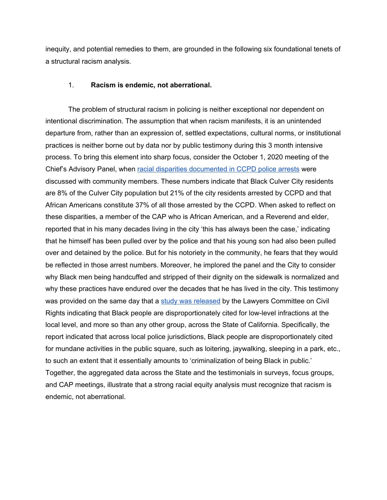inequity, and potential remedies to them, are grounded in the following six foundational tenets of a structural racism analysis.

### 1. **Racism is endemic, not aberrational.**

The problem of structural racism in policing is neither exceptional nor dependent on intentional discrimination. The assumption that when racism manifests, it is an unintended departure from, rather than an expression of, settled expectations, cultural norms, or institutional practices is neither borne out by data nor by public testimony during this 3 month intensive process. To bring this element into sharp focus, consider the October 1, 2020 meeting of the Chief's Advisory Panel, when racial disparities [documented](https://ucla.app.box.com/s/eb0h2xkial7mxzg09fnhahax331s47lw) in CCPD police arrests were discussed with community members. These numbers indicate that Black Culver City residents are 8% of the Culver City population but 21% of the city residents arrested by CCPD and that African Americans constitute 37% of all those arrested by the CCPD. When asked to reflect on these disparities, a member of the CAP who is African American, and a Reverend and elder, reported that in his many decades living in the city 'this has always been the case,' indicating that he himself has been pulled over by the police and that his young son had also been pulled over and detained by the police. But for his notoriety in the community, he fears that they would be reflected in those arrest numbers. Moreover, he implored the panel and the City to consider why Black men being handcuffed and stripped of their dignity on the sidewalk is normalized and why these practices have endured over the decades that he has lived in the city. This testimony was provided on the same day that a study was [released](https://www.theguardian.com/us-news/2020/sep/30/los-angeles-police-citations-black-residents) by the Lawyers Committee on Civil Rights indicating that Black people are disproportionately cited for low-level infractions at the local level, and more so than any other group, across the State of California. Specifically, the report indicated that across local police jurisdictions, Black people are disproportionately cited for mundane activities in the public square, such as loitering, jaywalking, sleeping in a park, etc., to such an extent that it essentially amounts to 'criminalization of being Black in public.' Together, the aggregated data across the State and the testimonials in surveys, focus groups, and CAP meetings, illustrate that a strong racial equity analysis must recognize that racism is endemic, not aberrational.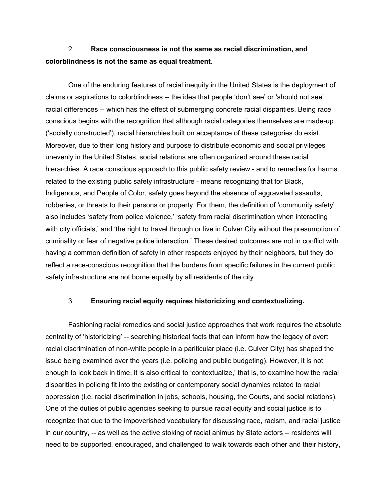## 2. **Race consciousness is not the same as racial discrimination, and colorblindness is not the same as equal treatment.**

One of the enduring features of racial inequity in the United States is the deployment of claims or aspirations to colorblindness -- the idea that people 'don't see' or 'should not see' racial differences -- which has the effect of submerging concrete racial disparities. Being race conscious begins with the recognition that although racial categories themselves are made-up ('socially constructed'), racial hierarchies built on acceptance of these categories do exist. Moreover, due to their long history and purpose to distribute economic and social privileges unevenly in the United States, social relations are often organized around these racial hierarchies. A race conscious approach to this public safety review - and to remedies for harms related to the existing public safety infrastructure - means recognizing that for Black, Indigenous, and People of Color, safety goes beyond the absence of aggravated assaults, robberies, or threats to their persons or property. For them, the definition of 'community safety' also includes 'safety from police violence,' 'safety from racial discrimination when interacting with city officials,' and 'the right to travel through or live in Culver City without the presumption of criminality or fear of negative police interaction.' These desired outcomes are not in conflict with having a common definition of safety in other respects enjoyed by their neighbors, but they do reflect a race-conscious recognition that the burdens from specific failures in the current public safety infrastructure are not borne equally by all residents of the city.

### 3. **Ensuring racial equity requires historicizing and contextualizing.**

Fashioning racial remedies and social justice approaches that work requires the absolute centrality of 'historicizing' -- searching historical facts that can inform how the legacy of overt racial discrimination of non-white people in a pariticular place (i.e. Culver City) has shaped the issue being examined over the years (i.e. policing and public budgeting). However, it is not enough to look back in time, it is also critical to 'contextualize,' that is, to examine how the racial disparities in policing fit into the existing or contemporary social dynamics related to racial oppression (i.e. racial discrimination in jobs, schools, housing, the Courts, and social relations). One of the duties of public agencies seeking to pursue racial equity and social justice is to recognize that due to the impoverished vocabulary for discussing race, racism, and racial justice in our country, -- as well as the active stoking of racial animus by State actors -- residents will need to be supported, encouraged, and challenged to walk towards each other and their history,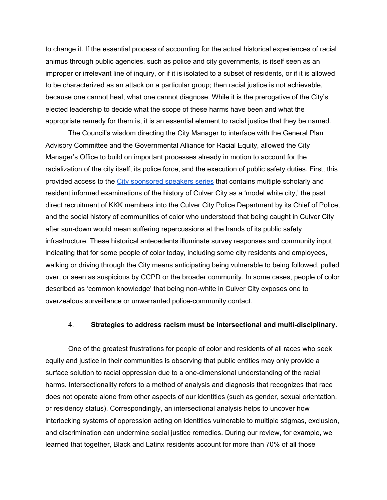to change it. If the essential process of accounting for the actual historical experiences of racial animus through public agencies, such as police and city governments, is itself seen as an improper or irrelevant line of inquiry, or if it is isolated to a subset of residents, or if it is allowed to be characterized as an attack on a particular group; then racial justice is not achievable, because one cannot heal, what one cannot diagnose. While it is the prerogative of the City's elected leadership to decide what the scope of these harms have been and what the appropriate remedy for them is, it is an essential element to racial justice that they be named.

The Council's wisdom directing the City Manager to interface with the General Plan Advisory Committee and the Governmental Alliance for Racial Equity, allowed the City Manager's Office to build on important processes already in motion to account for the racialization of the city itself, its police force, and the execution of public safety duties. First, this provided access to the City [sponsored](https://www.youtube.com/watch?v=HRQyw1-sGUo) speakers series that contains multiple scholarly and resident informed examinations of the history of Culver City as a 'model white city,' the past direct recruitment of KKK members into the Culver City Police Department by its Chief of Police, and the social history of communities of color who understood that being caught in Culver City after sun-down would mean suffering repercussions at the hands of its public safety infrastructure. These historical antecedents illuminate survey responses and community input indicating that for some people of color today, including some city residents and employees, walking or driving through the City means anticipating being vulnerable to being followed, pulled over, or seen as suspicious by CCPD or the broader community. In some cases, people of color described as 'common knowledge' that being non-white in Culver City exposes one to overzealous surveillance or unwarranted police-community contact.

### 4. **Strategies to address racism must be intersectional and multi-disciplinary.**

One of the greatest frustrations for people of color and residents of all races who seek equity and justice in their communities is observing that public entities may only provide a surface solution to racial oppression due to a one-dimensional understanding of the racial harms. Intersectionality refers to a method of analysis and diagnosis that recognizes that race does not operate alone from other aspects of our identities (such as gender, sexual orientation, or residency status). Correspondingly, an intersectional analysis helps to uncover how interlocking systems of oppression acting on identities vulnerable to multiple stigmas, exclusion, and discrimination can undermine social justice remedies. During our review, for example, we learned that together, Black and Latinx residents account for more than 70% of all those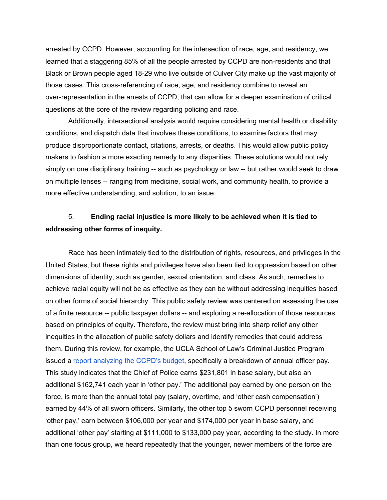arrested by CCPD. However, accounting for the intersection of race, age, and residency, we learned that a staggering 85% of all the people arrested by CCPD are non-residents and that Black or Brown people aged 18-29 who live outside of Culver City make up the vast majority of those cases. This cross-referencing of race, age, and residency combine to reveal an over-representation in the arrests of CCPD, that can allow for a deeper examination of critical questions at the core of the review regarding policing and race.

Additionally, intersectional analysis would require considering mental health or disability conditions, and dispatch data that involves these conditions, to examine factors that may produce disproportionate contact, citations, arrests, or deaths. This would allow public policy makers to fashion a more exacting remedy to any disparities. These solutions would not rely simply on one disciplinary training -- such as psychology or law -- but rather would seek to draw on multiple lenses -- ranging from medicine, social work, and community health, to provide a more effective understanding, and solution, to an issue.

## 5. **Ending racial injustice is more likely to be achieved when it is tied to addressing other forms of inequity.**

Race has been intimately tied to the distribution of rights, resources, and privileges in the United States, but these rights and privileges have also been tied to oppression based on other dimensions of identity, such as gender, sexual orientation, and class. As such, remedies to achieve racial equity will not be as effective as they can be without addressing inequities based on other forms of social hierarchy. This public safety review was centered on assessing the use of a finite resource -- public taxpayer dollars -- and exploring a re-allocation of those resources based on principles of equity. Therefore, the review must bring into sharp relief any other inequities in the allocation of public safety dollars and identify remedies that could address them. During this review, for example, the UCLA School of Law's Criminal Justice Program issued a report [analyzing](https://law.ucla.edu/sites/default/files/PDFs/Academics/Culver%20City%20Police%20Department%20Budget%20Breakdown.pdf) the CCPD's budget, specifically a breakdown of annual officer pay. This study indicates that the Chief of Police earns \$231,801 in base salary, but also an additional \$162,741 each year in 'other pay.' The additional pay earned by one person on the force, is more than the annual total pay (salary, overtime, and 'other cash compensation') earned by 44% of all sworn officers. Similarly, the other top 5 sworn CCPD personnel receiving 'other pay,' earn between \$106,000 per year and \$174,000 per year in base salary, and additional 'other pay' starting at \$111,000 to \$133,000 pay year, according to the study. In more than one focus group, we heard repeatedly that the younger, newer members of the force are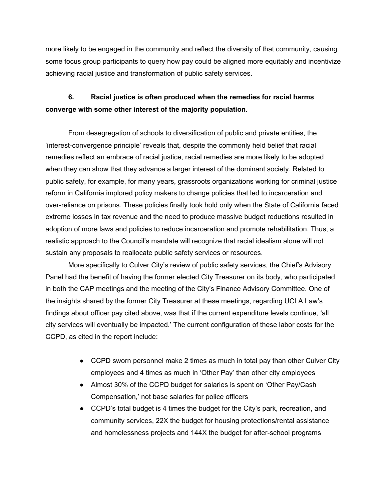more likely to be engaged in the community and reflect the diversity of that community, causing some focus group participants to query how pay could be aligned more equitably and incentivize achieving racial justice and transformation of public safety services.

# **6. Racial justice is often produced when the remedies for racial harms converge with some other interest of the majority population.**

From desegregation of schools to diversification of public and private entities, the 'interest-convergence principle' reveals that, despite the commonly held belief that racial remedies reflect an embrace of racial justice, racial remedies are more likely to be adopted when they can show that they advance a larger interest of the dominant society. Related to public safety, for example, for many years, grassroots organizations working for criminal justice reform in California implored policy makers to change policies that led to incarceration and over-reliance on prisons. These policies finally took hold only when the State of California faced extreme losses in tax revenue and the need to produce massive budget reductions resulted in adoption of more laws and policies to reduce incarceration and promote rehabilitation. Thus, a realistic approach to the Council's mandate will recognize that racial idealism alone will not sustain any proposals to reallocate public safety services or resources.

More specifically to Culver City's review of public safety services, the Chief's Advisory Panel had the benefit of having the former elected City Treasurer on its body, who participated in both the CAP meetings and the meeting of the City's Finance Advisory Committee. One of the insights shared by the former City Treasurer at these meetings, regarding UCLA Law's findings about officer pay cited above, was that if the current expenditure levels continue, 'all city services will eventually be impacted.' The current configuration of these labor costs for the CCPD, as cited in the report include:

- CCPD sworn personnel make 2 times as much in total pay than other Culver City employees and 4 times as much in 'Other Pay' than other city employees
- Almost 30% of the CCPD budget for salaries is spent on 'Other Pay/Cash Compensation,' not base salaries for police officers
- CCPD's total budget is 4 times the budget for the City's park, recreation, and community services, 22X the budget for housing protections/rental assistance and homelessness projects and 144X the budget for after-school programs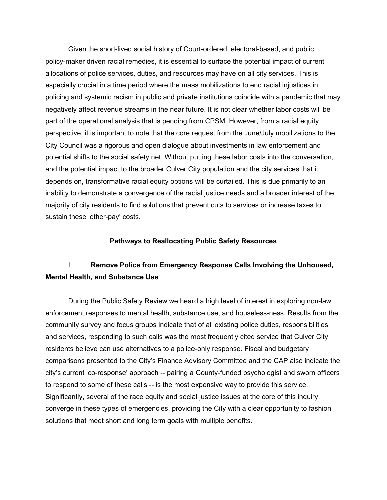Given the short-lived social history of Court-ordered, electoral-based, and public policy-maker driven racial remedies, it is essential to surface the potential impact of current allocations of police services, duties, and resources may have on all city services. This is especially crucial in a time period where the mass mobilizations to end racial injustices in policing and systemic racism in public and private institutions coincide with a pandemic that may negatively affect revenue streams in the near future. It is not clear whether labor costs will be part of the operational analysis that is pending from CPSM. However, from a racial equity perspective, it is important to note that the core request from the June/July mobilizations to the City Council was a rigorous and open dialogue about investments in law enforcement and potential shifts to the social safety net. Without putting these labor costs into the conversation, and the potential impact to the broader Culver City population and the city services that it depends on, transformative racial equity options will be curtailed. This is due primarily to an inability to demonstrate a convergence of the racial justice needs and a broader interest of the majority of city residents to find solutions that prevent cuts to services or increase taxes to sustain these 'other-pay' costs.

### **Pathways to Reallocating Public Safety Resources**

## I. **Remove Police from Emergency Response Calls Involving the Unhoused, Mental Health, and Substance Use**

During the Public Safety Review we heard a high level of interest in exploring non-law enforcement responses to mental health, substance use, and houseless-ness. Results from the community survey and focus groups indicate that of all existing police duties, responsibilities and services, responding to such calls was the most frequently cited service that Culver City residents believe can use alternatives to a police-only response. Fiscal and budgetary comparisons presented to the City's Finance Advisory Committee and the CAP also indicate the city's current 'co-response' approach -- pairing a County-funded psychologist and sworn officers to respond to some of these calls -- is the most expensive way to provide this service. Significantly, several of the race equity and social justice issues at the core of this inquiry converge in these types of emergencies, providing the City with a clear opportunity to fashion solutions that meet short and long term goals with multiple benefits.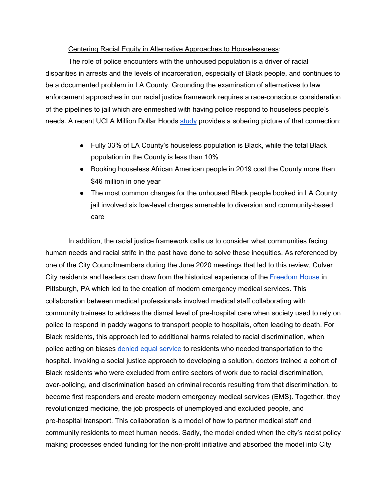### Centering Racial Equity in Alternative Approaches to Houselessness:

The role of police encounters with the unhoused population is a driver of racial disparities in arrests and the levels of incarceration, especially of Black people, and continues to be a documented problem in LA County. Grounding the examination of alternatives to law enforcement approaches in our racial justice framework requires a race-conscious consideration of the pipelines to jail which are enmeshed with having police respond to houseless people's needs. A recent UCLA Million Dollar Hoods [study](https://ucla.app.box.com/s/w3s9fzi24tbds8fahqyu853cz7f702jl) provides a sobering picture of that connection:

- Fully 33% of LA County's houseless population is Black, while the total Black population in the County is less than 10%
- Booking houseless African American people in 2019 cost the County more than \$46 million in one year
- The most common charges for the unhoused Black people booked in LA County jail involved six low-level charges amenable to diversion and community-based care

In addition, the racial justice framework calls us to consider what communities facing human needs and racial strife in the past have done to solve these inequities. As referenced by one of the City Councilmembers during the June 2020 meetings that led to this review, Culver City residents and leaders can draw from the historical experience of the **[Freedom](https://www.ems1.com/ems-education/articles/how-pittsburghs-freedom-house-shaped-modern-ems-systems-luEDCMzLZL8XfbzU/) House** in Pittsburgh, PA which led to the creation of modern emergency medical services. This collaboration between medical professionals involved medical staff collaborating with community trainees to address the dismal level of pre-hospital care when society used to rely on police to respond in paddy wagons to transport people to hospitals, often leading to death. For Black residents, this approach led to additional harms related to racial discrimination, when police acting on biases denied equal [service](https://www.emsworld.com/article/1222574/forgotten-legacy-freedom-house) to residents who needed transportation to the hospital. Invoking a social justice approach to developing a solution, doctors trained a cohort of Black residents who were excluded from entire sectors of work due to racial discrimination, over-policing, and discrimination based on criminal records resulting from that discrimination, to become first responders and create modern emergency medical services (EMS). Together, they revolutionized medicine, the job prospects of unemployed and excluded people, and pre-hospital transport. This collaboration is a model of how to partner medical staff and community residents to meet human needs. Sadly, the model ended when the city's racist policy making processes ended funding for the non-profit initiative and absorbed the model into City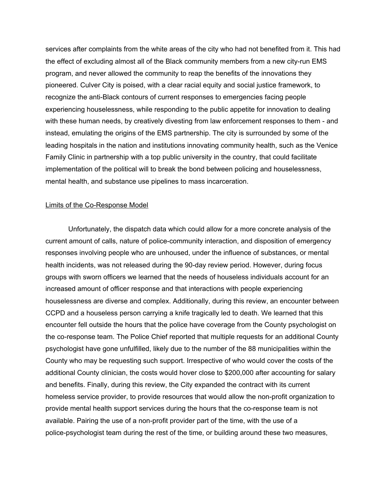services after complaints from the white areas of the city who had not benefited from it. This had the effect of excluding almost all of the Black community members from a new city-run EMS program, and never allowed the community to reap the benefits of the innovations they pioneered. Culver City is poised, with a clear racial equity and social justice framework, to recognize the anti-Black contours of current responses to emergencies facing people experiencing houselessness, while responding to the public appetite for innovation to dealing with these human needs, by creatively divesting from law enforcement responses to them - and instead, emulating the origins of the EMS partnership. The city is surrounded by some of the leading hospitals in the nation and institutions innovating community health, such as the Venice Family Clinic in partnership with a top public university in the country, that could facilitate implementation of the political will to break the bond between policing and houselessness, mental health, and substance use pipelines to mass incarceration.

### Limits of the Co-Response Model

Unfortunately, the dispatch data which could allow for a more concrete analysis of the current amount of calls, nature of police-community interaction, and disposition of emergency responses involving people who are unhoused, under the influence of substances, or mental health incidents, was not released during the 90-day review period. However, during focus groups with sworn officers we learned that the needs of houseless individuals account for an increased amount of officer response and that interactions with people experiencing houselessness are diverse and complex. Additionally, during this review, an encounter between CCPD and a houseless person carrying a knife tragically led to death. We learned that this encounter fell outside the hours that the police have coverage from the County psychologist on the co-response team. The Police Chief reported that multiple requests for an additional County psychologist have gone unfulfilled, likely due to the number of the 88 municipalities within the County who may be requesting such support. Irrespective of who would cover the costs of the additional County clinician, the costs would hover close to \$200,000 after accounting for salary and benefits. Finally, during this review, the City expanded the contract with its current homeless service provider, to provide resources that would allow the non-profit organization to provide mental health support services during the hours that the co-response team is not available. Pairing the use of a non-profit provider part of the time, with the use of a police-psychologist team during the rest of the time, or building around these two measures,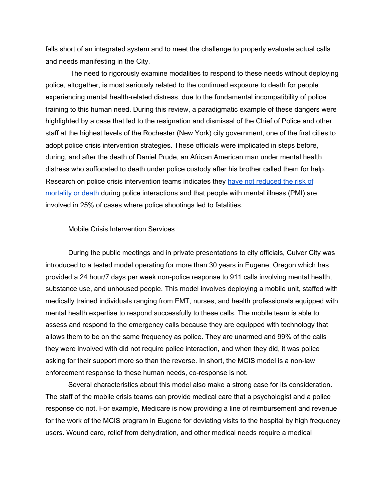falls short of an integrated system and to meet the challenge to properly evaluate actual calls and needs manifesting in the City.

The need to rigorously examine modalities to respond to these needs without deploying police, altogether, is most seriously related to the continued exposure to death for people experiencing mental health-related distress, due to the fundamental incompatibility of police training to this human need. During this review, a paradigmatic example of these dangers were highlighted by a case that led to the resignation and dismissal of the Chief of Police and other staff at the highest levels of the Rochester (New York) city government, one of the first cities to adopt police crisis intervention strategies. These officials were implicated in steps before, during, and after the death of Daniel Prude, an African American man under mental health distress who suffocated to death under police custody after his brother called them for help. Research on police crisis intervention teams indicates they have not [reduced](http://jaapl.org/content/early/2019/09/24/JAAPL.003863-19) the risk of [mortality](http://jaapl.org/content/early/2019/09/24/JAAPL.003863-19) or death during police interactions and that people with mental illness (PMI) are involved in 25% of cases where police shootings led to fatalities.

### Mobile Crisis Intervention Services

During the public meetings and in private presentations to city officials, Culver City was introduced to a tested model operating for more than 30 years in Eugene, Oregon which has provided a 24 hour/7 days per week non-police response to 911 calls involving mental health, substance use, and unhoused people. This model involves deploying a mobile unit, staffed with medically trained individuals ranging from EMT, nurses, and health professionals equipped with mental health expertise to respond successfully to these calls. The mobile team is able to assess and respond to the emergency calls because they are equipped with technology that allows them to be on the same frequency as police. They are unarmed and 99% of the calls they were involved with did not require police interaction, and when they did, it was police asking for their support more so than the reverse. In short, the MCIS model is a non-law enforcement response to these human needs, co-response is not.

Several characteristics about this model also make a strong case for its consideration. The staff of the mobile crisis teams can provide medical care that a psychologist and a police response do not. For example, Medicare is now providing a line of reimbursement and revenue for the work of the MCIS program in Eugene for deviating visits to the hospital by high frequency users. Wound care, relief from dehydration, and other medical needs require a medical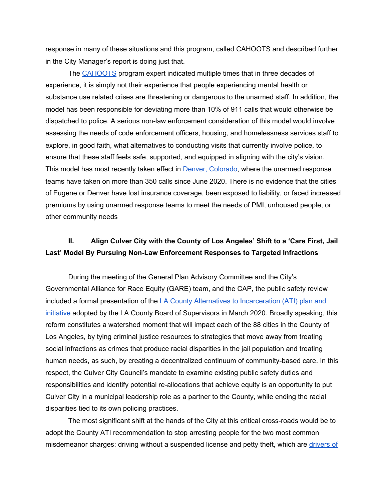response in many of these situations and this program, called CAHOOTS and described further in the City Manager's report is doing just that.

The [CAHOOTS](https://whitebirdclinic.org/cahoots/) program expert indicated multiple times that in three decades of experience, it is simply not their experience that people experiencing mental health or substance use related crises are threatening or dangerous to the unarmed staff. In addition, the model has been responsible for deviating more than 10% of 911 calls that would otherwise be dispatched to police. A serious non-law enforcement consideration of this model would involve assessing the needs of code enforcement officers, housing, and homelessness services staff to explore, in good faith, what alternatives to conducting visits that currently involve police, to ensure that these staff feels safe, supported, and equipped in aligning with the city's vision. This model has most recently taken effect in **Denver, Colorado**, where the unarmed response teams have taken on more than 350 calls since June 2020. There is no evidence that the cities of Eugene or Denver have lost insurance coverage, been exposed to liability, or faced increased premiums by using unarmed response teams to meet the needs of PMI, unhoused people, or other community needs

## **II. Align Culver City with the County of Los Angeles' Shift to a 'Care First, Jail Last' Model By Pursuing Non-Law Enforcement Responses to Targeted Infractions**

During the meeting of the General Plan Advisory Committee and the City's Governmental Alliance for Race Equity (GARE) team, and the CAP, the public safety review included a formal presentation of the LA County Alternatives to [Incarceration](http://file.lacounty.gov/SDSInter/bos/supdocs/144473.pdf) (ATI) plan and [initiative](http://file.lacounty.gov/SDSInter/bos/supdocs/144473.pdf) adopted by the LA County Board of Supervisors in March 2020. Broadly speaking, this reform constitutes a watershed moment that will impact each of the 88 cities in the County of Los Angeles, by tying criminal justice resources to strategies that move away from treating social infractions as crimes that produce racial disparities in the jail population and treating human needs, as such, by creating a decentralized continuum of community-based care. In this respect, the Culver City Council's mandate to examine existing public safety duties and responsibilities and identify potential re-allocations that achieve equity is an opportunity to put Culver City in a municipal leadership role as a partner to the County, while ending the racial disparities tied to its own policing practices.

The most significant shift at the hands of the City at this critical cross-roads would be to adopt the County ATI recommendation to stop arresting people for the two most common misdemeanor charges: driving without a suspended license and petty theft, which are [drivers](https://ucla.app.box.com/s/eb0h2xkial7mxzg09fnhahax331s47lw) of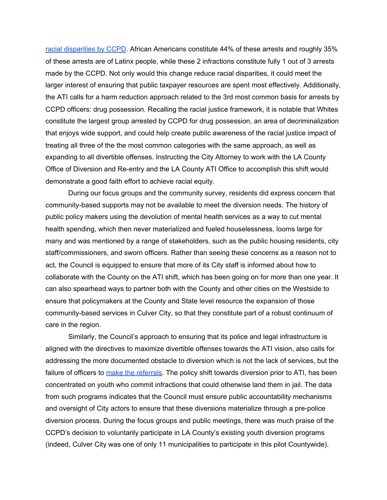racial [disparities](https://ucla.app.box.com/s/eb0h2xkial7mxzg09fnhahax331s47lw) by CCPD. African Americans constitute 44% of these arrests and roughly 35% of these arrests are of Latinx people, while these 2 infractions constitute fully 1 out of 3 arrests made by the CCPD. Not only would this change reduce racial disparities, it could meet the larger interest of ensuring that public taxpayer resources are spent most effectively. Additionally, the ATI calls for a harm reduction approach related to the 3rd most common basis for arrests by CCPD officers: drug possession. Recalling the racial justice framework, it is notable that Whites constitute the largest group arrested by CCPD for drug possession, an area of decriminalization that enjoys wide support, and could help create public awareness of the racial justice impact of treating all three of the the most common categories with the same approach, as well as expanding to all divertible offenses. Instructing the City Attorney to work with the LA County Office of Diversion and Re-entry and the LA County ATI Office to accomplish this shift would demonstrate a good faith effort to achieve racial equity.

During our focus groups and the community survey, residents did express concern that community-based supports may not be available to meet the diversion needs. The history of public policy makers using the devolution of mental health services as a way to cut mental health spending, which then never materialized and fueled houselessness, looms large for many and was mentioned by a range of stakeholders, such as the public housing residents, city staff/commissioners, and sworn officers. Rather than seeing these concerns as a reason not to act, the Council is equipped to ensure that more of its City staff is informed about how to collaborate with the County on the ATI shift, which has been going on for more than one year. It can also spearhead ways to partner both with the County and other cities on the Westside to ensure that policymakers at the County and State level resource the expansion of those community-based services in Culver City, so that they constitute part of a robust continuum of care in the region.

Similarly, the Council's approach to ensuring that its police and legal infrastructure is aligned with the directives to maximize divertible offenses towards the ATI vision, also calls for addressing the more documented obstacle to diversion which is not the lack of services, but the failure of officers to make the [referrals](https://imprintnews.org/justice/los-angeles-missed-opportunity-juvenile-diversion/48073). The policy shift towards diversion prior to ATI, has been concentrated on youth who commit infractions that could otherwise land them in jail. The data from such programs indicates that the Council must ensure public accountability mechanisms and oversight of City actors to ensure that these diversions materialize through a pre-police diversion process. During the focus groups and public meetings, there was much praise of the CCPD's decision to voluntarily participate in LA County's existing youth diversion programs (indeed, Culver City was one of only 11 municipalities to participate in this pilot Countywide).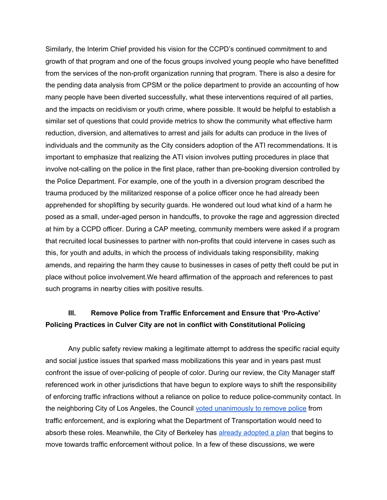Similarly, the Interim Chief provided his vision for the CCPD's continued commitment to and growth of that program and one of the focus groups involved young people who have benefitted from the services of the non-profit organization running that program. There is also a desire for the pending data analysis from CPSM or the police department to provide an accounting of how many people have been diverted successfully, what these interventions required of all parties, and the impacts on recidivism or youth crime, where possible. It would be helpful to establish a similar set of questions that could provide metrics to show the community what effective harm reduction, diversion, and alternatives to arrest and jails for adults can produce in the lives of individuals and the community as the City considers adoption of the ATI recommendations. It is important to emphasize that realizing the ATI vision involves putting procedures in place that involve not-calling on the police in the first place, rather than pre-booking diversion controlled by the Police Department. For example, one of the youth in a diversion program described the trauma produced by the militarized response of a police officer once he had already been apprehended for shoplifting by security guards. He wondered out loud what kind of a harm he posed as a small, under-aged person in handcuffs, to provoke the rage and aggression directed at him by a CCPD officer. During a CAP meeting, community members were asked if a program that recruited local businesses to partner with non-profits that could intervene in cases such as this, for youth and adults, in which the process of individuals taking responsibility, making amends, and repairing the harm they cause to businesses in cases of petty theft could be put in place without police involvement.We heard affirmation of the approach and references to past such programs in nearby cities with positive results.

# **III. Remove Police from Traffic Enforcement and Ensure that 'Pro-Active' Policing Practices in Culver City are not in conflict with Constitutional Policing**

Any public safety review making a legitimate attempt to address the specific racial equity and social justice issues that sparked mass mobilizations this year and in years past must confront the issue of over-policing of people of color. During our review, the City Manager staff referenced work in other jurisdictions that have begun to explore ways to shift the responsibility of enforcing traffic infractions without a reliance on police to reduce police-community contact. In the neighboring City of Los Angeles, the Council voted [unanimously](https://losangeles.cbslocal.com/2020/06/30/city-council-votes-unanimously-replace-officers-nonviolent-calls-crisis-response/) to remove police from traffic enforcement, and is exploring what the Department of Transportation would need to absorb these roles. Meanwhile, the City of Berkeley has already [adopted](https://www.forbes.com/sites/rachelsandler/2020/07/14/berkeley-may-become-1st-us-city-to-remove-police-from-traffic-stops/#10239bb770fa) a plan that begins to move towards traffic enforcement without police. In a few of these discussions, we were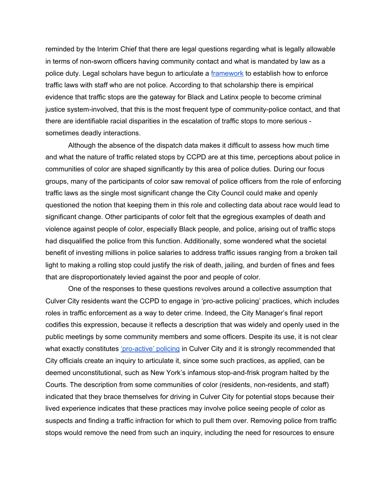reminded by the Interim Chief that there are legal questions regarding what is legally allowable in terms of non-sworn officers having community contact and what is mandated by law as a police duty. Legal scholars have begun to articulate a [framework](https://docs.google.com/document/d/1agXoJUVMWJzR3aBbhoou-MSKTdHNm9yVqvvc063vUKE/edit) to establish how to enforce traffic laws with staff who are not police. According to that scholarship there is empirical evidence that traffic stops are the gateway for Black and Latinx people to become criminal justice system-involved, that this is the most frequent type of community-police contact, and that there are identifiable racial disparities in the escalation of traffic stops to more serious sometimes deadly interactions.

Although the absence of the dispatch data makes it difficult to assess how much time and what the nature of traffic related stops by CCPD are at this time, perceptions about police in communities of color are shaped significantly by this area of police duties. During our focus groups, many of the participants of color saw removal of police officers from the role of enforcing traffic laws as the single most significant change the City Council could make and openly questioned the notion that keeping them in this role and collecting data about race would lead to significant change. Other participants of color felt that the egregious examples of death and violence against people of color, especially Black people, and police, arising out of traffic stops had disqualified the police from this function. Additionally, some wondered what the societal benefit of investing millions in police salaries to address traffic issues ranging from a broken tail light to making a rolling stop could justify the risk of death, jailing, and burden of fines and fees that are disproportionately levied against the poor and people of color.

One of the responses to these questions revolves around a collective assumption that Culver City residents want the CCPD to engage in 'pro-active policing' practices, which includes roles in traffic enforcement as a way to deter crime. Indeed, the City Manager's final report codifies this expression, because it reflects a description that was widely and openly used in the public meetings by some community members and some officers. Despite its use, it is not clear what exactly constitutes ['pro-active'](https://www.ncjrs.gov/pdffiles1/nij/252736.pdf) policing in Culver City and it is strongly recommended that City officials create an inquiry to articulate it, since some such practices, as applied, can be deemed unconstitutional, such as New York's infamous stop-and-frisk program halted by the Courts. The description from some communities of color (residents, non-residents, and staff) indicated that they brace themselves for driving in Culver City for potential stops because their lived experience indicates that these practices may involve police seeing people of color as suspects and finding a traffic infraction for which to pull them over. Removing police from traffic stops would remove the need from such an inquiry, including the need for resources to ensure